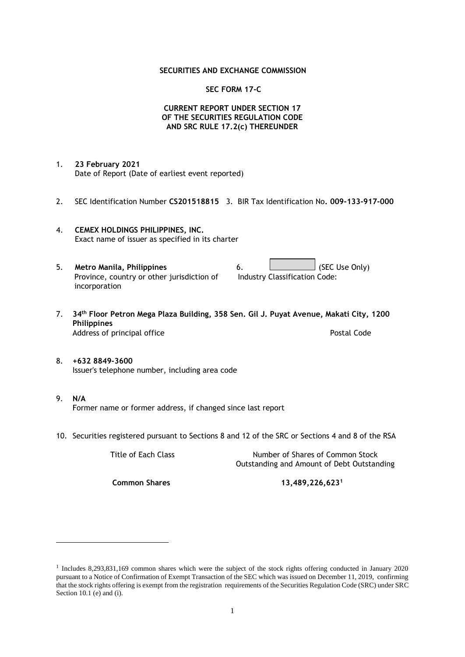### **SECURITIES AND EXCHANGE COMMISSION**

### **SEC FORM 17-C**

## **CURRENT REPORT UNDER SECTION 17 OF THE SECURITIES REGULATION CODE AND SRC RULE 17.2(c) THEREUNDER**

- 1. **23 February 2021** Date of Report (Date of earliest event reported)
- 2. SEC Identification Number **CS201518815** 3. BIR Tax Identification No**. 009-133-917-000**
- 4. **CEMEX HOLDINGS PHILIPPINES, INC.** Exact name of issuer as specified in its charter
- 5. **Metro Manila, Philippines** 6. **Consumers 6.** (SEC Use Only) Province, country or other jurisdiction of incorporation Industry Classification Code:
- 7. **34th Floor Petron Mega Plaza Building, 358 Sen. Gil J. Puyat Avenue, Makati City, 1200 Philippines** Address of principal office **Postal Code** Postal Code
- 8. **+632 8849-3600** Issuer's telephone number, including area code
- 9. **N/A** Former name or former address, if changed since last report
- 10. Securities registered pursuant to Sections 8 and 12 of the SRC or Sections 4 and 8 of the RSA

Title of Each Class Number of Shares of Common Stock Outstanding and Amount of Debt Outstanding

**Common Shares 13,489,226,623<sup>1</sup>**

<sup>1</sup> Includes 8,293,831,169 common shares which were the subject of the stock rights offering conducted in January 2020 pursuant to a Notice of Confirmation of Exempt Transaction of the SEC which was issued on December 11, 2019, confirming that the stock rights offering is exempt from the registration requirements of the Securities Regulation Code (SRC) under SRC Section 10.1 (e) and (i).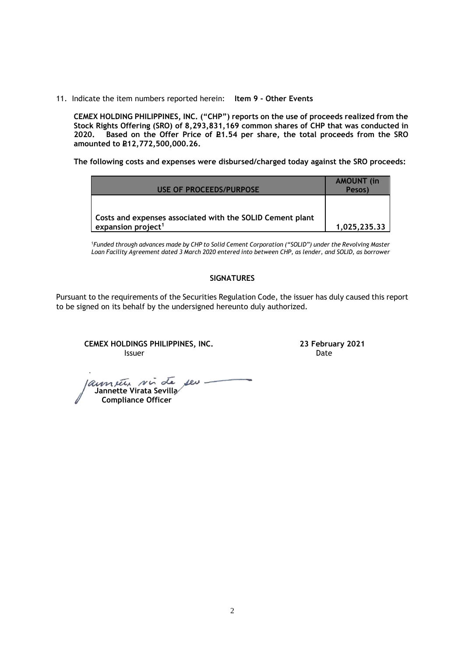11. Indicate the item numbers reported herein: **Item 9 - Other Events**

**CEMEX HOLDING PHILIPPINES, INC. ("CHP") reports on the use of proceeds realized from the Stock Rights Offering (SRO) of 8,293,831,169 common shares of CHP that was conducted in**  Based on the Offer Price of £1.54 per share, the total proceeds from the SRO **amounted to P12,772,500,000.26.** 

**The following costs and expenses were disbursed/charged today against the SRO proceeds:**

| <b>USE OF PROCEEDS/PURPOSE</b>                                                              | <b>AMOUNT</b> (in<br>Pesos) |
|---------------------------------------------------------------------------------------------|-----------------------------|
| Costs and expenses associated with the SOLID Cement plant<br>expansion project <sup>1</sup> | 1,025,235.33                |

<sup>1</sup>*Funded through advances made by CHP to Solid Cement Corporation ("SOLID") under the Revolving Master Loan Facility Agreement dated 3 March 2020 entered into between CHP, as lender, and SOLID, as borrower*

## **SIGNATURES**

Pursuant to the requirements of the Securities Regulation Code, the issuer has duly caused this report to be signed on its behalf by the undersigned hereunto duly authorized.

**CEMEX HOLDINGS PHILIPPINES, INC. 23 February 2021 Issuer Community Community Community** Community Community Community Community Community Community Community Comm

 **Jannette Virata Sevilla Compliance Officer**